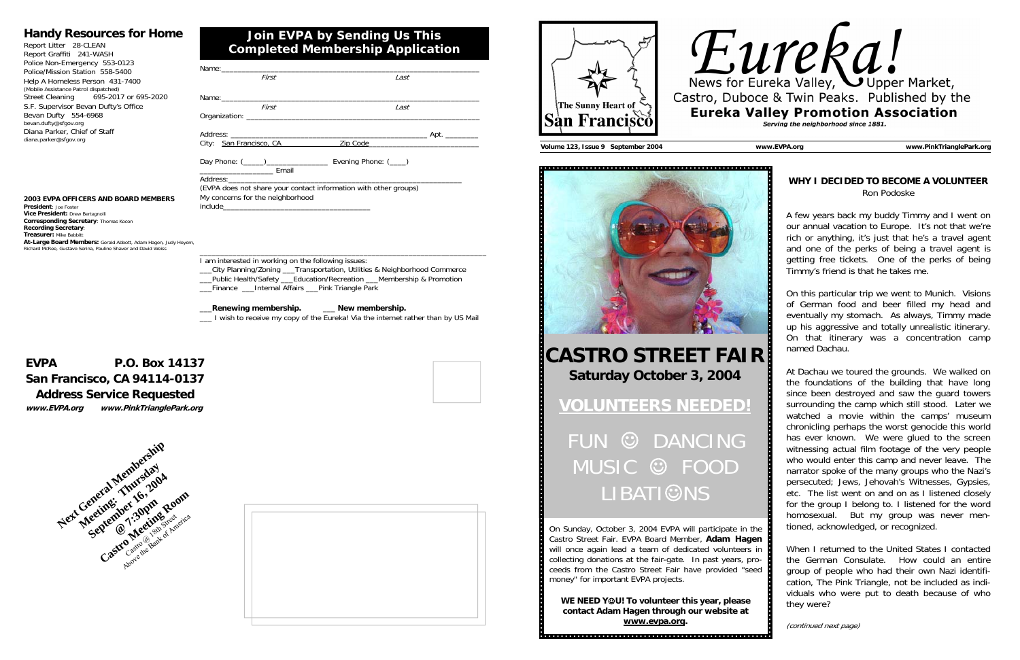| First                                                                                                | Last                                  |
|------------------------------------------------------------------------------------------------------|---------------------------------------|
|                                                                                                      |                                       |
| First                                                                                                | Last                                  |
|                                                                                                      |                                       |
|                                                                                                      | City: San Francisco, CA Zip Code 2001 |
| ________________________________ Email                                                               |                                       |
|                                                                                                      |                                       |
| (EVPA does not share your contact information with other groups)<br>My concerns for the neighborhood |                                       |
|                                                                                                      |                                       |
|                                                                                                      |                                       |
|                                                                                                      |                                       |
|                                                                                                      |                                       |

I am interested in working on the following issues:

#### **2003 EVPA OFFICERS AND BOARD MEMBERS President**: Joe Foster **Vice President:** Drew Bertagnolli **Corresponding Secretary**: Thomas Kocon **Recording Secretary**: **Treasurer: Mike Babbitt**

\_\_\_City Planning/Zoning \_\_\_Transportation, Utilities & Neighborhood Commerce \_\_\_Public Health/Safety \_\_\_Education/Recreation \_\_\_Membership & Promotion

\_\_\_Finance \_\_\_Internal Affairs \_\_\_Pink Triangle Park

#### \_\_\_**Renewing membership.** \_\_\_ **New membership.**

\_\_\_ I wish to receive my copy of the Eureka! Via the internet rather than by US Mail

## **Join EVPA by Sending Us This Completed Membership Application**

### **Handy Resources for Home**

Report Litter 28-CLEAN Report Graffiti 241-WASH Police Non-Emergency 553-0123 Police/Mission Station 558-5400 Help A Homeless Person 431-7400 (Mobile Assistance Patrol dispatched) Street Cleaning 695-2017 or 695-2020 S.F. Supervisor Bevan Dufty's Office Bevan Dufty 554-6968 bevan.dufty@sfgov.org Diana Parker, Chief of Staff diana.parker@sfgov.org

## **EVPA P.O. Box 14137 San Francisco, CA 94114-0137 Address Service Requested**

**www.EVPA.org www.PinkTrianglePark.org** 



 **At-Large Board Members:** Gerald Abbott, Adam Hagen, Judy Hoyem, Richard McRee, Gustavo Serina, Pauline Shaver and David Weiss







**Volume 123, Issue 9 September 2004 www.EVPA.org www.PinkTrianglePark.org** 



#### **WHY I DECIDED TO BECOME A VOLUNTEER** Ron Podoske

A few years back my buddy Timmy and I went on our annual vacation to Europe. It's not that we're rich or anything, it's just that he's a travel agent and one of the perks of being a travel agent is getting free tickets. One of the perks of being Timmy's friend is that he takes me.

On this particular trip we went to Munich. Visions of German food and beer filled my head and eventually my stomach. As always, Timmy made up his aggressive and totally unrealistic itinerary. On that itinerary was a concentration camp named Dachau.

At Dachau we toured the grounds. We walked on the foundations of the building that have long since been destroyed and saw the guard towers surrounding the camp which still stood. Later we watched a movie within the camps' museum chronicling perhaps the worst genocide this world has ever known. We were glued to the screen witnessing actual film footage of the very people who would enter this camp and never leave. The narrator spoke of the many groups who the Nazi's persecuted; Jews, Jehovah's Witnesses, Gypsies, etc. The list went on and on as I listened closely for the group I belong to. I listened for the word homosexual. But my group was never mentioned, acknowledged, or recognized.

When I returned to the United States I contacted the German Consulate. How could an entire group of people who had their own Nazi identification, The Pink Triangle, not be included as individuals who were put to death because of who they were?

(continued next page)

# **CASTRO STREET FAIR Saturday October 3, 2004**

# **VOLUNTEERS NEEDED!**

© DANCING MUSIC © FOOD **LIBATI©NS** 

On Sunday, October 3, 2004 EVPA will participate in the Castro Street Fair. EVPA Board Member, **Adam Hagen** will once again lead a team of dedicated volunteers in collecting donations at the fair-gate. In past years, proceeds from the Castro Street Fair have provided "seed money" for important EVPA projects.

**WE NEED Y**☺**U! To volunteer this year, please contact Adam Hagen through our website at www.evpa.org.**